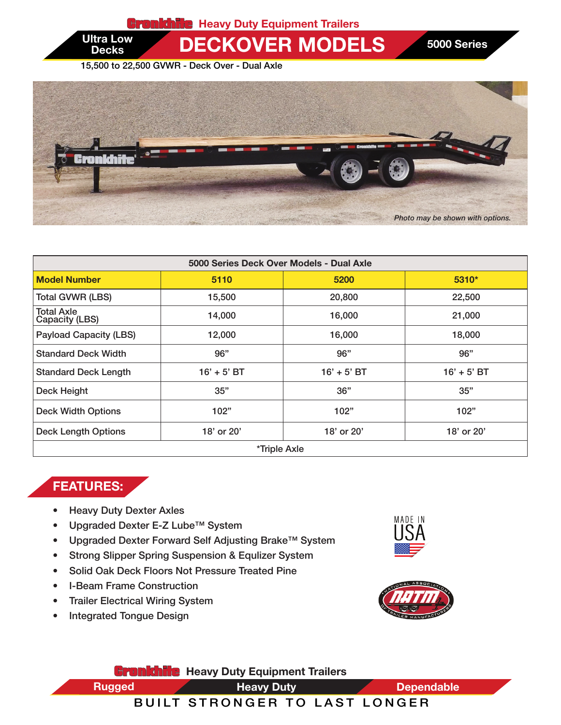

Ultra Low **DECKOVER MODELS** 5000 Series

15,500 to 22,500 GVWR - Deck Over - Dual Axle

**Decks** 



| 5000 Series Deck Over Models - Dual Axle |               |               |               |  |
|------------------------------------------|---------------|---------------|---------------|--|
| <b>Model Number</b>                      | 5110          | 5200          | $5310*$       |  |
| <b>Total GVWR (LBS)</b>                  | 15,500        | 20,800        | 22,500        |  |
| Total Axle<br>Capacity (LBS)             | 14,000        | 16,000        | 21,000        |  |
| <b>Payload Capacity (LBS)</b>            | 12,000        | 16,000        | 18,000        |  |
| <b>Standard Deck Width</b>               | 96"           | 96"           | 96"           |  |
| <b>Standard Deck Length</b>              | $16' + 5'$ BT | $16' + 5'$ BT | $16' + 5'$ BT |  |
| Deck Height                              | 35"           | 36"           | 35"           |  |
| <b>Deck Width Options</b>                | 102"          | 102"          | 102"          |  |
| <b>Deck Length Options</b>               | 18' or 20'    | 18' or 20'    | 18' or 20'    |  |
| *Triple Axle                             |               |               |               |  |

## FEATURES:

- Heavy Duty Dexter Axles
- Upgraded Dexter E-Z Lube™ System
- Upgraded Dexter Forward Self Adjusting Brake™ System
- Strong Slipper Spring Suspension & Equlizer System
- Solid Oak Deck Floors Not Pressure Treated Pine
- I-Beam Frame Construction
- Trailer Electrical Wiring System
- Integrated Tongue Design





**Gronkhile** Heavy Duty Equipment Trailers Heavy Duty Rugged **Dependable** Heavy Duty **CONTENT TRAILERS** 

## BUILT STRONGER TO LAST LONGER